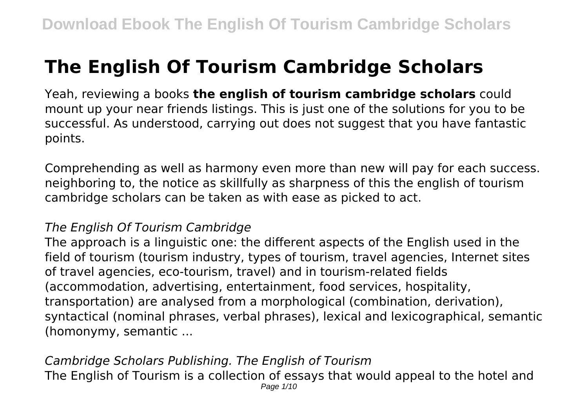# **The English Of Tourism Cambridge Scholars**

Yeah, reviewing a books **the english of tourism cambridge scholars** could mount up your near friends listings. This is just one of the solutions for you to be successful. As understood, carrying out does not suggest that you have fantastic points.

Comprehending as well as harmony even more than new will pay for each success. neighboring to, the notice as skillfully as sharpness of this the english of tourism cambridge scholars can be taken as with ease as picked to act.

## *The English Of Tourism Cambridge*

The approach is a linguistic one: the different aspects of the English used in the field of tourism (tourism industry, types of tourism, travel agencies, Internet sites of travel agencies, eco-tourism, travel) and in tourism-related fields (accommodation, advertising, entertainment, food services, hospitality, transportation) are analysed from a morphological (combination, derivation), syntactical (nominal phrases, verbal phrases), lexical and lexicographical, semantic (homonymy, semantic ...

*Cambridge Scholars Publishing. The English of Tourism* The English of Tourism is a collection of essays that would appeal to the hotel and Page  $1/10$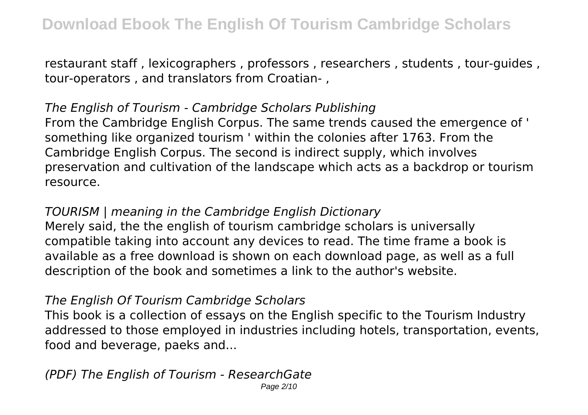restaurant staff , lexicographers , professors , researchers , students , tour-guides , tour-operators , and translators from Croatian- ,

## *The English of Tourism - Cambridge Scholars Publishing*

From the Cambridge English Corpus. The same trends caused the emergence of ' something like organized tourism ' within the colonies after 1763. From the Cambridge English Corpus. The second is indirect supply, which involves preservation and cultivation of the landscape which acts as a backdrop or tourism resource.

## *TOURISM | meaning in the Cambridge English Dictionary*

Merely said, the the english of tourism cambridge scholars is universally compatible taking into account any devices to read. The time frame a book is available as a free download is shown on each download page, as well as a full description of the book and sometimes a link to the author's website.

## *The English Of Tourism Cambridge Scholars*

This book is a collection of essays on the English specific to the Tourism Industry addressed to those employed in industries including hotels, transportation, events, food and beverage, paeks and...

#### *(PDF) The English of Tourism - ResearchGate* Page 2/10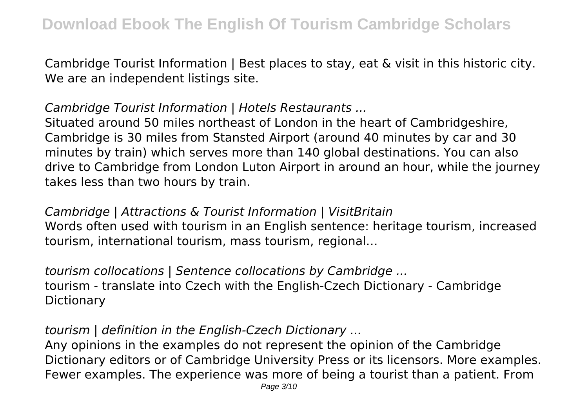Cambridge Tourist Information | Best places to stay, eat & visit in this historic city. We are an independent listings site.

# *Cambridge Tourist Information | Hotels Restaurants ...*

Situated around 50 miles northeast of London in the heart of Cambridgeshire, Cambridge is 30 miles from Stansted Airport (around 40 minutes by car and 30 minutes by train) which serves more than 140 global destinations. You can also drive to Cambridge from London Luton Airport in around an hour, while the journey takes less than two hours by train.

## *Cambridge | Attractions & Tourist Information | VisitBritain*

Words often used with tourism in an English sentence: heritage tourism, increased tourism, international tourism, mass tourism, regional…

*tourism collocations | Sentence collocations by Cambridge ...* tourism - translate into Czech with the English-Czech Dictionary - Cambridge **Dictionary** 

# *tourism | definition in the English-Czech Dictionary ...*

Any opinions in the examples do not represent the opinion of the Cambridge Dictionary editors or of Cambridge University Press or its licensors. More examples. Fewer examples. The experience was more of being a tourist than a patient. From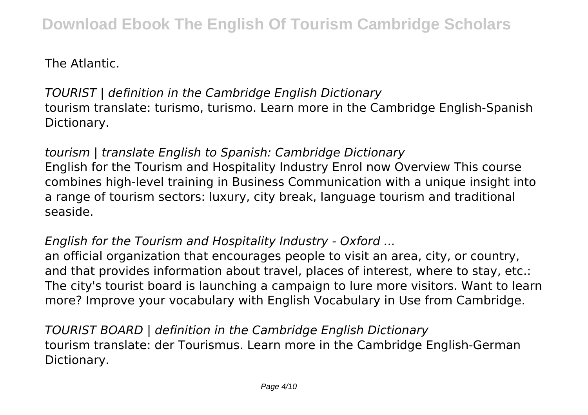The Atlantic.

*TOURIST | definition in the Cambridge English Dictionary* tourism translate: turismo, turismo. Learn more in the Cambridge English-Spanish Dictionary.

*tourism | translate English to Spanish: Cambridge Dictionary* English for the Tourism and Hospitality Industry Enrol now Overview This course combines high-level training in Business Communication with a unique insight into a range of tourism sectors: luxury, city break, language tourism and traditional seaside.

*English for the Tourism and Hospitality Industry - Oxford ...*

an official organization that encourages people to visit an area, city, or country, and that provides information about travel, places of interest, where to stay, etc.: The city's tourist board is launching a campaign to lure more visitors. Want to learn more? Improve your vocabulary with English Vocabulary in Use from Cambridge.

*TOURIST BOARD | definition in the Cambridge English Dictionary* tourism translate: der Tourismus. Learn more in the Cambridge English-German Dictionary.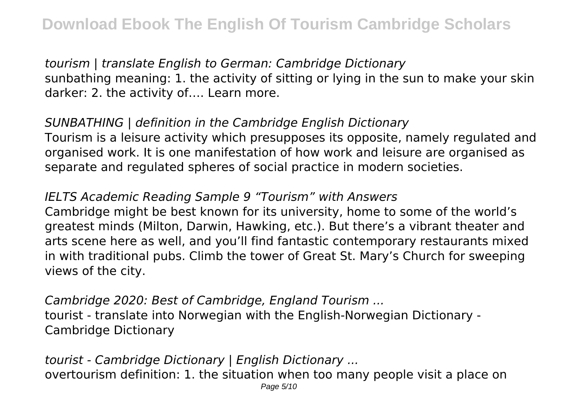*tourism | translate English to German: Cambridge Dictionary* sunbathing meaning: 1. the activity of sitting or lying in the sun to make your skin darker: 2. the activity of…. Learn more.

*SUNBATHING | definition in the Cambridge English Dictionary* Tourism is a leisure activity which presupposes its opposite, namely regulated and organised work. It is one manifestation of how work and leisure are organised as separate and regulated spheres of social practice in modern societies.

# *IELTS Academic Reading Sample 9 "Tourism" with Answers*

Cambridge might be best known for its university, home to some of the world's greatest minds (Milton, Darwin, Hawking, etc.). But there's a vibrant theater and arts scene here as well, and you'll find fantastic contemporary restaurants mixed in with traditional pubs. Climb the tower of Great St. Mary's Church for sweeping views of the city.

*Cambridge 2020: Best of Cambridge, England Tourism ...* tourist - translate into Norwegian with the English-Norwegian Dictionary - Cambridge Dictionary

*tourist - Cambridge Dictionary | English Dictionary ...* overtourism definition: 1. the situation when too many people visit a place on Page 5/10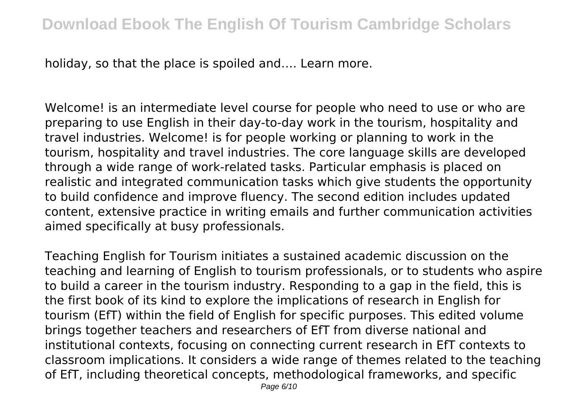holiday, so that the place is spoiled and…. Learn more.

Welcome! is an intermediate level course for people who need to use or who are preparing to use English in their day-to-day work in the tourism, hospitality and travel industries. Welcome! is for people working or planning to work in the tourism, hospitality and travel industries. The core language skills are developed through a wide range of work-related tasks. Particular emphasis is placed on realistic and integrated communication tasks which give students the opportunity to build confidence and improve fluency. The second edition includes updated content, extensive practice in writing emails and further communication activities aimed specifically at busy professionals.

Teaching English for Tourism initiates a sustained academic discussion on the teaching and learning of English to tourism professionals, or to students who aspire to build a career in the tourism industry. Responding to a gap in the field, this is the first book of its kind to explore the implications of research in English for tourism (EfT) within the field of English for specific purposes. This edited volume brings together teachers and researchers of EfT from diverse national and institutional contexts, focusing on connecting current research in EfT contexts to classroom implications. It considers a wide range of themes related to the teaching of EfT, including theoretical concepts, methodological frameworks, and specific Page 6/10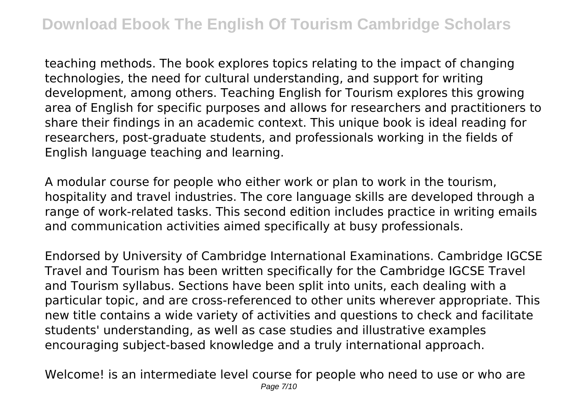teaching methods. The book explores topics relating to the impact of changing technologies, the need for cultural understanding, and support for writing development, among others. Teaching English for Tourism explores this growing area of English for specific purposes and allows for researchers and practitioners to share their findings in an academic context. This unique book is ideal reading for researchers, post-graduate students, and professionals working in the fields of English language teaching and learning.

A modular course for people who either work or plan to work in the tourism, hospitality and travel industries. The core language skills are developed through a range of work-related tasks. This second edition includes practice in writing emails and communication activities aimed specifically at busy professionals.

Endorsed by University of Cambridge International Examinations. Cambridge IGCSE Travel and Tourism has been written specifically for the Cambridge IGCSE Travel and Tourism syllabus. Sections have been split into units, each dealing with a particular topic, and are cross-referenced to other units wherever appropriate. This new title contains a wide variety of activities and questions to check and facilitate students' understanding, as well as case studies and illustrative examples encouraging subject-based knowledge and a truly international approach.

Welcome! is an intermediate level course for people who need to use or who are Page 7/10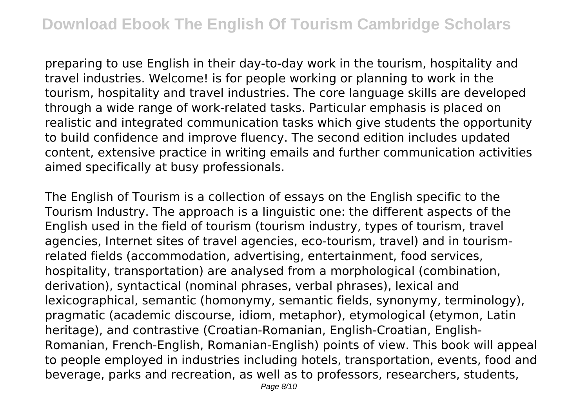preparing to use English in their day-to-day work in the tourism, hospitality and travel industries. Welcome! is for people working or planning to work in the tourism, hospitality and travel industries. The core language skills are developed through a wide range of work-related tasks. Particular emphasis is placed on realistic and integrated communication tasks which give students the opportunity to build confidence and improve fluency. The second edition includes updated content, extensive practice in writing emails and further communication activities aimed specifically at busy professionals.

The English of Tourism is a collection of essays on the English specific to the Tourism Industry. The approach is a linguistic one: the different aspects of the English used in the field of tourism (tourism industry, types of tourism, travel agencies, Internet sites of travel agencies, eco-tourism, travel) and in tourismrelated fields (accommodation, advertising, entertainment, food services, hospitality, transportation) are analysed from a morphological (combination, derivation), syntactical (nominal phrases, verbal phrases), lexical and lexicographical, semantic (homonymy, semantic fields, synonymy, terminology), pragmatic (academic discourse, idiom, metaphor), etymological (etymon, Latin heritage), and contrastive (Croatian-Romanian, English-Croatian, English-Romanian, French-English, Romanian-English) points of view. This book will appeal to people employed in industries including hotels, transportation, events, food and beverage, parks and recreation, as well as to professors, researchers, students,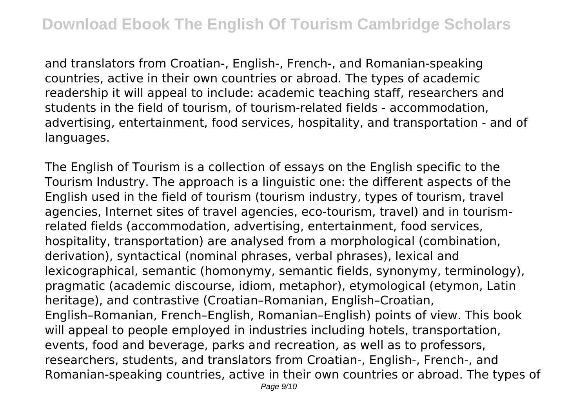and translators from Croatian-, English-, French-, and Romanian-speaking countries, active in their own countries or abroad. The types of academic readership it will appeal to include: academic teaching staff, researchers and students in the field of tourism, of tourism-related fields - accommodation, advertising, entertainment, food services, hospitality, and transportation - and of languages.

The English of Tourism is a collection of essays on the English specific to the Tourism Industry. The approach is a linguistic one: the different aspects of the English used in the field of tourism (tourism industry, types of tourism, travel agencies, Internet sites of travel agencies, eco-tourism, travel) and in tourismrelated fields (accommodation, advertising, entertainment, food services, hospitality, transportation) are analysed from a morphological (combination, derivation), syntactical (nominal phrases, verbal phrases), lexical and lexicographical, semantic (homonymy, semantic fields, synonymy, terminology), pragmatic (academic discourse, idiom, metaphor), etymological (etymon, Latin heritage), and contrastive (Croatian–Romanian, English–Croatian, English–Romanian, French–English, Romanian–English) points of view. This book will appeal to people employed in industries including hotels, transportation, events, food and beverage, parks and recreation, as well as to professors, researchers, students, and translators from Croatian-, English-, French-, and Romanian-speaking countries, active in their own countries or abroad. The types of